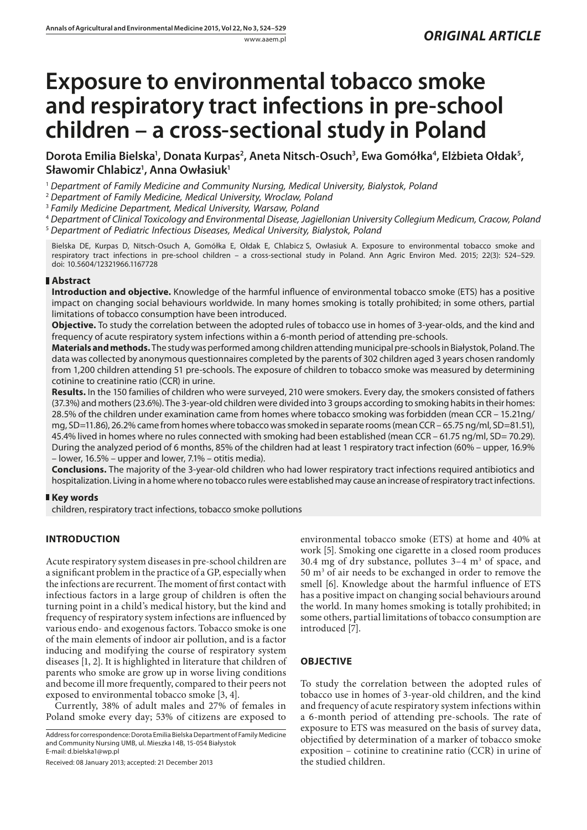# **Exposure to environmental tobacco smoke and respiratory tract infections in pre-school children – a cross-sectional study in Poland**

Dorota Emilia Bielska<sup>ı</sup>, Donata Kurpas<sup>2</sup>, Aneta Nitsch-Osuch<sup>3</sup>, Ewa Gomółka<sup>4</sup>, Elżbieta Ołdak<sup>5</sup>, **Sławomir Chlabicz1 , Anna Owłasiuk1**

<sup>1</sup> *Department of Family Medicine and Community Nursing, Medical University, Bialystok, Poland*

<sup>2</sup> *Department of Family Medicine, Medical University, Wroclaw, Poland*

<sup>3</sup> *Family Medicine Department, Medical University, Warsaw, Poland*

<sup>4</sup> *Department of Clinical Toxicology and Environmental Disease, Jagiellonian University Collegium Medicum, Cracow, Poland* <sup>5</sup> *Department of Pediatric Infectious Diseases, Medical University, Bialystok, Poland*

Bielska DE, Kurpas D, Nitsch-Osuch A, Gomółka E, Ołdak E, Chlabicz S, Owłasiuk A. Exposure to environmental tobacco smoke and respiratory tract infections in pre-school children – a cross-sectional study in Poland. Ann Agric Environ Med. 2015; 22(3): 524–529. doi: 10.5604/12321966.1167728

## **Abstract**

**Introduction and objective.** Knowledge of the harmful influence of environmental tobacco smoke (ETS) has a positive impact on changing social behaviours worldwide. In many homes smoking is totally prohibited; in some others, partial limitations of tobacco consumption have been introduced.

**Objective.** To study the correlation between the adopted rules of tobacco use in homes of 3-year-olds, and the kind and frequency of acute respiratory system infections within a 6-month period of attending pre-schools.

**Materials and methods.** The study was performed among children attending municipal pre-schools in Białystok, Poland. The data was collected by anonymous questionnaires completed by the parents of 302 children aged 3 years chosen randomly from 1,200 children attending 51 pre-schools. The exposure of children to tobacco smoke was measured by determining cotinine to creatinine ratio (CCR) in urine.

**Results.** In the 150 families of children who were surveyed, 210 were smokers. Every day, the smokers consisted of fathers (37.3%) and mothers (23.6%). The 3-year-old children were divided into 3 groups according to smoking habits in their homes: 28.5% of the children under examination came from homes where tobacco smoking was forbidden (mean CCR – 15.21ng/ mg, SD=11.86), 26.2% came from homes where tobacco was smoked in separate rooms (mean CCR – 65.75 ng/ml, SD=81.51), 45.4% lived in homes where no rules connected with smoking had been established (mean CCR – 61.75 ng/ml, SD= 70.29). During the analyzed period of 6 months, 85% of the children had at least 1 respiratory tract infection (60% – upper, 16.9% – lower, 16.5% – upper and lower, 7.1% – otitis media).

**Conclusions.** The majority of the 3-year-old children who had lower respiratory tract infections required antibiotics and hospitalization. Living in a home where no tobacco rules were established may cause an increase of respiratory tract infections.

#### **Key words**

children, respiratory tract infections, tobacco smoke pollutions

# **INTRODUCTION**

Acute respiratory system diseases in pre-school children are a significant problem in the practice of a GP, especially when the infections are recurrent. The moment of first contact with infectious factors in a large group of children is often the turning point in a child's medical history, but the kind and frequency of respiratory system infections are influenced by various endo- and exogenous factors. Tobacco smoke is one of the main elements of indoor air pollution, and is a factor inducing and modifying the course of respiratory system diseases [1, 2]. It is highlighted in literature that children of parents who smoke are grow up in worse living conditions and become ill more frequently, compared to their peers not exposed to environmental tobacco smoke [3, 4].

Currently, 38% of adult males and 27% of females in Poland smoke every day; 53% of citizens are exposed to

Address for correspondence: Dorota Emilia Bielska Department of Family Medicine and Community Nursing UMB, ul. Mieszka I 4B, 15-054 Białystok E-mail: [d.bielska1@wp.pl](mailto:d.bielska1@wp.pl)

Received: 08 January 2013; accepted: 21 December 2013

environmental tobacco smoke (ETS) at home and 40% at work [5]. Smoking one cigarette in a closed room produces 30.4 mg of dry substance, pollutes  $3-4$  m<sup>3</sup> of space, and 50 m3 of air needs to be exchanged in order to remove the smell [6]. Knowledge about the harmful influence of ETS has a positive impact on changing social behaviours around the world. In many homes smoking is totally prohibited; in some others, partial limitations of tobacco consumption are introduced [7].

## **OBJECTIVE**

To study the correlation between the adopted rules of tobacco use in homes of 3-year-old children, and the kind and frequency of acute respiratory system infections within a 6-month period of attending pre-schools. The rate of exposure to ETS was measured on the basis of survey data, objectified by determination of a marker of tobacco smoke exposition – cotinine to creatinine ratio (CCR) in urine of the studied children.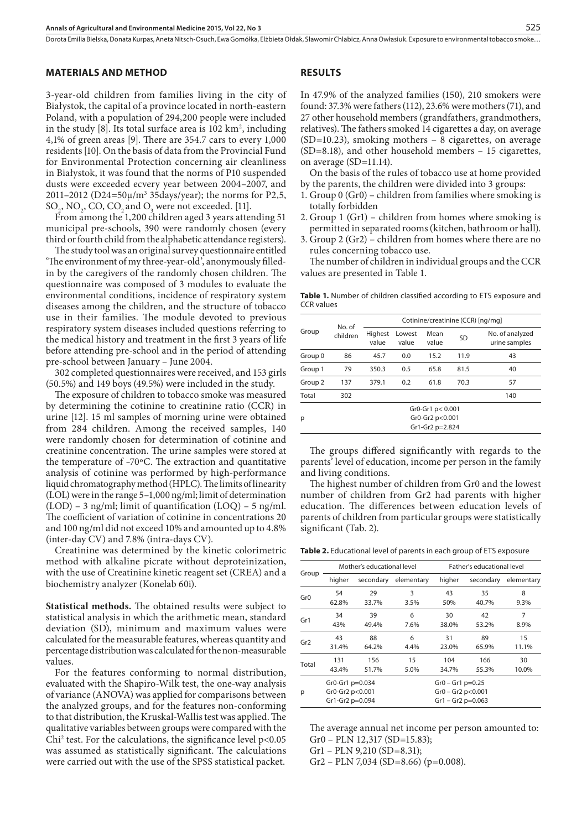#### **MATERIALS AND METHOD**

3-year-old children from families living in the city of Białystok, the capital of a province located in north-eastern Poland, with a population of 294,200 people were included in the study [8]. Its total surface area is  $102 \text{ km}^2$ , including 4,1% of green areas [9]. There are 354.7 cars to every 1,000 residents [10]. On the basis of data from the Provincial Fund for Environmental Protection concerning air cleanliness in Białystok, it was found that the norms of P10 suspended dusts were exceeded ecvery year between 2004–2007, and 2011–2012 (D24=50µ/m3 35days/year); the norms for P2,5,  $SO_2$ , NO<sub>2</sub>, CO, CO<sub>2</sub> and O<sub>3</sub> were not exceeded. [11].

From among the 1,200 children aged 3 years attending 51 municipal pre-schools, 390 were randomly chosen (every third or fourth child from the alphabetic attendance registers).

The study tool was an original survey questionnaire entitled 'The environment of my three-year-old', anonymously filledin by the caregivers of the randomly chosen children. The questionnaire was composed of 3 modules to evaluate the environmental conditions, incidence of respiratory system diseases among the children, and the structure of tobacco use in their families. The module devoted to previous respiratory system diseases included questions referring to the medical history and treatment in the first 3 years of life before attending pre-school and in the period of attending pre-school between January – June 2004.

302 completed questionnaires were received, and 153 girls (50.5%) and 149 boys (49.5%) were included in the study.

The exposure of children to tobacco smoke was measured by determining the cotinine to creatinine ratio (CCR) in urine [12]. 15 ml samples of morning urine were obtained from 284 children. Among the received samples, 140 were randomly chosen for determination of cotinine and creatinine concentration. The urine samples were stored at the temperature of –70ºC. The extraction and quantitative analysis of cotinine was performed by high-performance liquid chromatography method (HPLC). The limits of linearity (LOL) were in the range 5–1,000 ng/ml; limit of determination (LOD) – 3 ng/ml; limit of quantification (LOQ) – 5 ng/ml. The coefficient of variation of cotinine in concentrations 20 and 100 ng/ml did not exceed 10% and amounted up to 4.8% (inter-day CV) and 7.8% (intra-days CV).

Creatinine was determined by the kinetic colorimetric method with alkaline picrate without deproteinization, with the use of Creatinine kinetic reagent set (CREA) and a biochemistry analyzer (Konelab 60i).

**Statistical methods.** The obtained results were subject to statistical analysis in which the arithmetic mean, standard deviation (SD), minimum and maximum values were calculated for the measurable features, whereas quantity and percentage distribution was calculated for the non-measurable values.

For the features conforming to normal distribution, evaluated with the Shapiro-Wilk test, the one-way analysis of variance (ANOVA) was applied for comparisons between the analyzed groups, and for the features non-conforming to that distribution, the Kruskal-Wallis test was applied. The qualitative variables between groups were compared with the Chi<sup>2</sup> test. For the calculations, the significance level p<0.05 was assumed as statistically significant. The calculations were carried out with the use of the SPSS statistical packet.

#### **RESULTS**

In 47.9% of the analyzed families (150), 210 smokers were found: 37.3% were fathers (112), 23.6% were mothers (71), and 27 other household members (grandfathers, grandmothers, relatives). The fathers smoked 14 cigarettes a day, on average  $(SD=10.23)$ , smoking mothers – 8 cigarettes, on average (SD=8.18), and other household members – 15 cigarettes, on average (SD=11.14).

On the basis of the rules of tobacco use at home provided by the parents, the children were divided into 3 groups:

- 1. Group 0 (Gr0) children from families where smoking is totally forbidden
- 2. Group 1 (Gr1) children from homes where smoking is permitted in separated rooms (kitchen, bathroom or hall).
- 3. Group 2 (Gr2) children from homes where there are no rules concerning tobacco use.

The number of children in individual groups and the CCR values are presented in Table 1.

**Table 1.** Number of children classified according to ETS exposure and CCR values

| Group              | No. of<br>children | Cotinine/creatinine (CCR) [ng/mg] |                 |               |           |                                  |  |  |  |
|--------------------|--------------------|-----------------------------------|-----------------|---------------|-----------|----------------------------------|--|--|--|
|                    |                    | Highest<br>value                  | Lowest<br>value | Mean<br>value | <b>SD</b> | No. of analyzed<br>urine samples |  |  |  |
| Group <sub>0</sub> | 86                 | 45.7                              | 0.0             | 15.2          | 11.9      | 43                               |  |  |  |
| Group 1            | 79                 | 350.3                             | 0.5             | 65.8          | 81.5      | 40                               |  |  |  |
| Group <sub>2</sub> | 137                | 379.1                             | 0.2             | 61.8          | 70.3      | 57                               |  |  |  |
| Total              | 302                |                                   |                 |               |           | 140                              |  |  |  |
|                    | Gr0-Gr1 p< 0.001   |                                   |                 |               |           |                                  |  |  |  |
| р                  |                    | Gr0-Gr2 p<0.001                   |                 |               |           |                                  |  |  |  |
|                    | Gr1-Gr2 p=2.824    |                                   |                 |               |           |                                  |  |  |  |

The groups differed significantly with regards to the parents' level of education, income per person in the family and living conditions.

The highest number of children from Gr0 and the lowest number of children from Gr2 had parents with higher education. The differences between education levels of parents of children from particular groups were statistically significant (Tab. 2).

**Table 2.** Educational level of parents in each group of ETS exposure

|       |                 | Mother's educational level |            | Father's educational level |           |            |  |  |  |  |
|-------|-----------------|----------------------------|------------|----------------------------|-----------|------------|--|--|--|--|
| Group | higher          | secondary                  | elementary | higher                     | secondary | elementary |  |  |  |  |
| Gr0   | 54              | 29                         | 3          | 43                         | 35        | 8          |  |  |  |  |
|       | 62.8%           | 33.7%                      | 3.5%       | 50%                        | 40.7%     | 9.3%       |  |  |  |  |
| Gr1   | 34              | 39                         | 6          | 30                         | 42        | 7          |  |  |  |  |
|       | 43%             | 49.4%                      | 7.6%       | 38.0%                      | 53.2%     | 8.9%       |  |  |  |  |
|       | 43              | 88                         | 6          | 31                         | 89        | 15         |  |  |  |  |
| Gr2   | 31.4%           | 64.2%                      | 4.4%       | 23.0%                      | 65.9%     | 11.1%      |  |  |  |  |
| Total | 131             | 156                        | 15         | 104                        | 166       | 30         |  |  |  |  |
|       | 43.4%           | 51.7%                      | 5.0%       | 34.7%                      | 55.3%     | 10.0%      |  |  |  |  |
|       | Gr0-Gr1 p=0.034 |                            |            | $Gr0 - Gr1 p=0.25$         |           |            |  |  |  |  |
| p     | Gr0-Gr2 p<0.001 |                            |            | $Gr0 - Gr2 p < 0.001$      |           |            |  |  |  |  |
|       | Gr1-Gr2 p=0.094 |                            |            | $Gr1 - Gr2 p = 0.063$      |           |            |  |  |  |  |

The average annual net income per person amounted to: Gr0 – PLN 12,317 (SD=15.83);

Gr1 – PLN 9,210 (SD=8.31);

Gr2 – PLN 7,034 (SD=8.66) (p=0.008).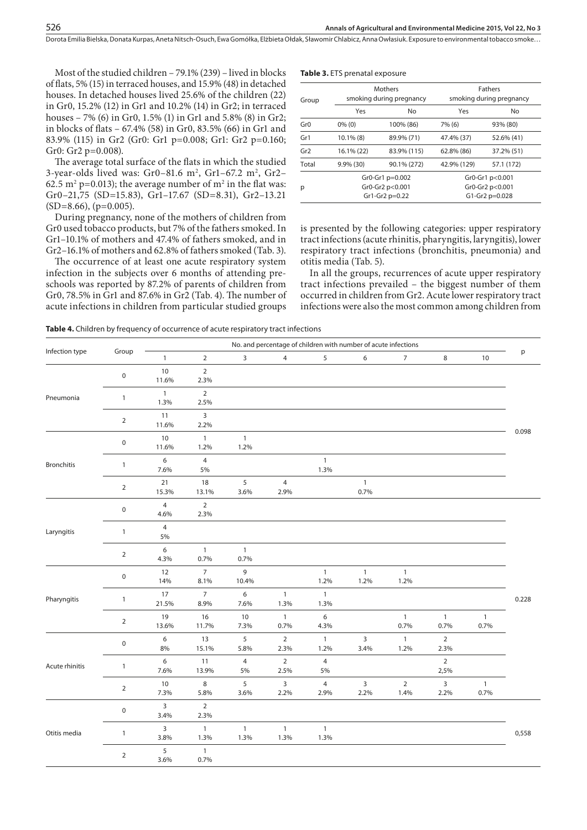Most of the studied children – 79.1% (239) – lived in blocks of flats, 5% (15) in terraced houses, and 15.9% (48) in detached houses. In detached houses lived 25.6% of the children (22) in Gr0, 15.2% (12) in Gr1 and 10.2% (14) in Gr2; in terraced houses – 7% (6) in Gr0, 1.5% (1) in Gr1 and 5.8% (8) in Gr2; in blocks of flats – 67.4% (58) in Gr0, 83.5% (66) in Gr1 and 83.9% (115) in Gr2 (Gr0: Gr1 p=0.008; Gr1: Gr2 p=0.160; Gr0: Gr2 p=0.008).

The average total surface of the flats in which the studied 3-year-olds lived was: Gr0–81.6 m², Gr1–67.2 m², Gr2– 62.5 m<sup>2</sup> p=0.013); the average number of m<sup>2</sup> in the flat was: Gr0–21,75 (SD=15.83), Gr1–17.67 (SD=8.31), Gr2–13.21  $(SD=8.66)$ , (p=0.005).

During pregnancy, none of the mothers of children from Gr0 used tobacco products, but 7% of the fathers smoked. In Gr1–10.1% of mothers and 47.4% of fathers smoked, and in Gr2–16.1% of mothers and 62.8% of fathers smoked (Tab. 3).

The occurrence of at least one acute respiratory system infection in the subjects over 6 months of attending preschools was reported by 87.2% of parents of children from Gr0, 78.5% in Gr1 and 87.6% in Gr2 (Tab. 4). The number of acute infections in children from particular studied groups

| Table 3. ETS prenatal exposure |  |  |
|--------------------------------|--|--|
|--------------------------------|--|--|

| Group           |              | <b>Mothers</b><br>smoking during pregnancy           | <b>Fathers</b><br>smoking during pregnancy           |            |  |  |
|-----------------|--------------|------------------------------------------------------|------------------------------------------------------|------------|--|--|
|                 | Yes          | <b>No</b>                                            | Yes                                                  | No         |  |  |
| Gr <sub>0</sub> | $0\%$ (0)    | 100% (86)                                            | 7% (6)                                               | 93% (80)   |  |  |
| Gr1             | $10.1\%$ (8) | 89.9% (71)                                           | 47.4% (37)                                           | 52.6% (41) |  |  |
| Gr2             | 16.1% (22)   | 83.9% (115)                                          | 62.8% (86)                                           | 37.2% (51) |  |  |
| Total           | $9.9\%$ (30) | 90.1% (272)                                          | 42.9% (129)                                          | 57.1 (172) |  |  |
| р               |              | Gr0-Gr1 p=0.002<br>Gr0-Gr2 p<0.001<br>Gr1-Gr2 p=0.22 | Gr0-Gr1 p<0.001<br>Gr0-Gr2 p<0.001<br>G1-Gr2 p=0.028 |            |  |  |

is presented by the following categories: upper respiratory tract infections (acute rhinitis, pharyngitis, laryngitis), lower respiratory tract infections (bronchitis, pneumonia) and otitis media (Tab. 5).

In all the groups, recurrences of acute upper respiratory tract infections prevailed – the biggest number of them occurred in children from Gr2. Acute lower respiratory tract infections were also the most common among children from

**Table 4.** Children by frequency of occurrence of acute respiratory tract infections

|                   | Group               | No. and percentage of children with number of acute infections |                        |                      |                        |                          |                        |                        |                        |                      |       |
|-------------------|---------------------|----------------------------------------------------------------|------------------------|----------------------|------------------------|--------------------------|------------------------|------------------------|------------------------|----------------------|-------|
| Infection type    |                     | $\mathbf{1}$                                                   | $\overline{2}$         | 3                    | $\overline{4}$         | 5                        | 6                      | $\overline{7}$         | 8                      | $10$                 | p     |
|                   | $\mathsf{O}\xspace$ | 10<br>11.6%                                                    | $\overline{2}$<br>2.3% |                      |                        |                          |                        |                        |                        |                      |       |
| Pneumonia         | $\mathbf{1}$        | $\mathbf{1}$<br>1.3%                                           | $\overline{2}$<br>2.5% |                      |                        |                          |                        |                        |                        |                      |       |
|                   | $\overline{2}$      | 11<br>11.6%                                                    | 3<br>2.2%              |                      |                        |                          |                        |                        |                        |                      | 0.098 |
|                   | $\mathsf 0$         | 10<br>11.6%                                                    | $\mathbf{1}$<br>1.2%   | $\mathbf{1}$<br>1.2% |                        |                          |                        |                        |                        |                      |       |
| <b>Bronchitis</b> | $\mathbf{1}$        | 6<br>7.6%                                                      | $\overline{4}$<br>5%   |                      |                        | $\mathbf{1}$<br>1.3%     |                        |                        |                        |                      |       |
|                   | $\overline{2}$      | 21<br>15.3%                                                    | 18<br>13.1%            | 5<br>3.6%            | $\overline{4}$<br>2.9% |                          | $\mathbf{1}$<br>0.7%   |                        |                        |                      |       |
| Laryngitis        | $\mathsf 0$         | $\overline{4}$<br>4.6%                                         | $\overline{2}$<br>2.3% |                      |                        |                          |                        |                        |                        |                      |       |
|                   | $\mathbf{1}$        | $\overline{4}$<br>5%                                           |                        |                      |                        |                          |                        |                        |                        |                      |       |
|                   | $\overline{2}$      | 6<br>4.3%                                                      | $\overline{1}$<br>0.7% | $\mathbf{1}$<br>0.7% |                        |                          |                        |                        |                        |                      |       |
|                   | $\mathsf 0$         | 12<br>14%                                                      | $\overline{7}$<br>8.1% | 9<br>10.4%           |                        | $\mathbf{1}$<br>1.2%     | $\mathbf{1}$<br>1.2%   | $\mathbf{1}$<br>1.2%   |                        |                      | 0.228 |
| Pharyngitis       | $\mathbf{1}$        | 17<br>21.5%                                                    | $\overline{7}$<br>8.9% | 6<br>7.6%            | $\mathbf{1}$<br>1.3%   | $\mathbf{1}$<br>1.3%     |                        |                        |                        |                      |       |
|                   | $\overline{2}$      | 19<br>13.6%                                                    | 16<br>11.7%            | $10$<br>7.3%         | $\mathbf{1}$<br>0.7%   | $\boldsymbol{6}$<br>4.3% |                        | $\mathbf{1}$<br>0.7%   | $\mathbf{1}$<br>0.7%   | $\mathbf{1}$<br>0.7% |       |
|                   | $\mathsf{O}\xspace$ | 6<br>8%                                                        | 13<br>15.1%            | 5<br>5.8%            | $\overline{2}$<br>2.3% | $\mathbf{1}$<br>1.2%     | $\overline{3}$<br>3.4% | $\mathbf{1}$<br>1.2%   | $\overline{2}$<br>2.3% |                      |       |
| Acute rhinitis    | $\mathbf{1}$        | 6<br>7.6%                                                      | 11<br>13.9%            | $\overline{4}$<br>5% | $\overline{2}$<br>2.5% | $\overline{4}$<br>5%     |                        |                        | $\overline{2}$<br>2,5% |                      |       |
|                   | $\overline{2}$      | 10<br>7.3%                                                     | 8<br>5.8%              | 5<br>3.6%            | $\overline{3}$<br>2.2% | $\overline{4}$<br>2.9%   | $\overline{3}$<br>2.2% | $\overline{2}$<br>1.4% | 3<br>2.2%              | $\mathbf{1}$<br>0.7% |       |
|                   | $\mathsf 0$         | $\mathsf{3}$<br>3.4%                                           | $\overline{2}$<br>2.3% |                      |                        |                          |                        |                        |                        |                      |       |
| Otitis media      | $\mathbf{1}$        | 3<br>3.8%                                                      | $\overline{1}$<br>1.3% | $\mathbf{1}$<br>1.3% | $\mathbf{1}$<br>1.3%   | $\mathbf{1}$<br>1.3%     |                        |                        |                        |                      | 0,558 |
|                   | $\overline{2}$      | 5<br>3.6%                                                      | $\mathbf{1}$<br>0.7%   |                      |                        |                          |                        |                        |                        |                      |       |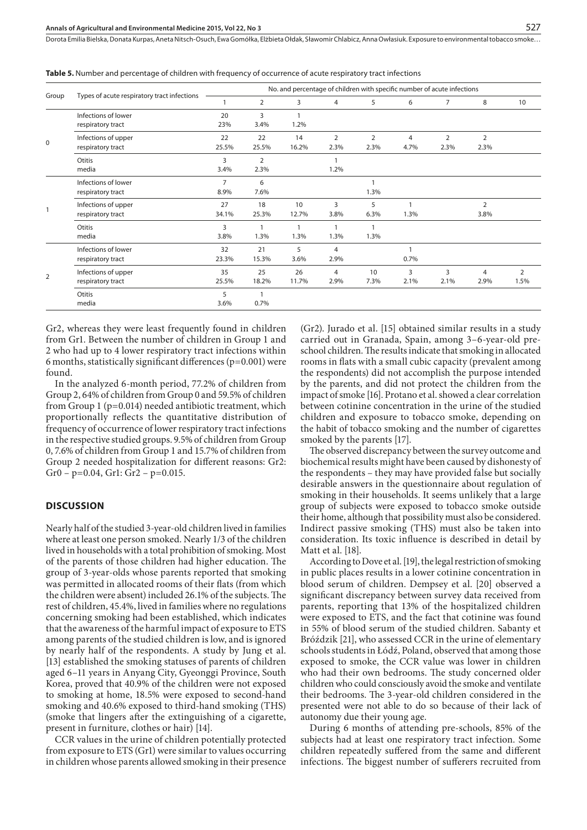| Group    | Types of acute respiratory tract infections | No. and percentage of children with specific number of acute infections |                |       |                |                |                |                |                |                |
|----------|---------------------------------------------|-------------------------------------------------------------------------|----------------|-------|----------------|----------------|----------------|----------------|----------------|----------------|
|          |                                             |                                                                         | $\overline{2}$ | 3     | 4              | 5              | 6              | 7              | 8              | 10             |
|          | Infections of lower                         | 20                                                                      | 3              |       |                |                |                |                |                |                |
|          | respiratory tract                           | 23%                                                                     | 3.4%           | 1.2%  |                |                |                |                |                |                |
|          | Infections of upper                         | 22                                                                      | 22             | 14    | $\overline{2}$ | $\overline{2}$ | 4              | $\overline{2}$ | $\overline{2}$ |                |
| $\Omega$ | respiratory tract                           | 25.5%                                                                   | 25.5%          | 16.2% | 2.3%           | 2.3%           | 4.7%           | 2.3%           | 2.3%           |                |
|          | Otitis                                      | 3                                                                       | 2              |       |                |                |                |                |                |                |
|          | media                                       | 3.4%                                                                    | 2.3%           |       | 1.2%           |                |                |                |                |                |
|          | Infections of lower                         | $\overline{7}$                                                          | 6              |       |                |                |                |                |                |                |
|          | respiratory tract                           | 8.9%                                                                    | 7.6%           |       |                | 1.3%           |                |                |                |                |
|          | Infections of upper                         | 27                                                                      | 18             | 10    | 3              | 5              |                |                | $\overline{2}$ |                |
| 2        | respiratory tract                           | 34.1%                                                                   | 25.3%          | 12.7% | 3.8%           | 6.3%           | 1.3%           |                | 3.8%           |                |
|          | Otitis                                      | 3                                                                       | $\overline{1}$ | 1     |                | $\mathbf{1}$   |                |                |                |                |
|          | media                                       | 3.8%                                                                    | 1.3%           | 1.3%  | 1.3%           | 1.3%           |                |                |                |                |
|          | Infections of lower                         | 32                                                                      | 21             | 5     | 4              |                |                |                |                |                |
|          | respiratory tract                           | 23.3%                                                                   | 15.3%          | 3.6%  | 2.9%           |                | 0.7%           |                |                |                |
|          | Infections of upper                         | 35                                                                      | 25             | 26    | $\overline{4}$ | 10             | $\overline{3}$ | 3              | 4              | $\overline{2}$ |
|          | respiratory tract                           | 25.5%                                                                   | 18.2%          | 11.7% | 2.9%           | 7.3%           | 2.1%           | 2.1%           | 2.9%           | 1.5%           |
|          | Otitis                                      | 5                                                                       | -1             |       |                |                |                |                |                |                |
|          | media                                       | 3.6%                                                                    | 0.7%           |       |                |                |                |                |                |                |

**Table 5.** Number and percentage of children with frequency of occurrence of acute respiratory tract infections

Gr2, whereas they were least frequently found in children from Gr1. Between the number of children in Group 1 and 2 who had up to 4 lower respiratory tract infections within 6 months, statistically significant differences ( $p=0.001$ ) were found.

In the analyzed 6-month period, 77.2% of children from Group 2, 64% of children from Group 0 and 59.5% of children from Group 1 (p=0.014) needed antibiotic treatment, which proportionally reflects the quantitative distribution of frequency of occurrence of lower respiratory tract infections in the respective studied groups. 9.5% of children from Group 0, 7.6% of children from Group 1 and 15.7% of children from Group 2 needed hospitalization for different reasons: Gr2:  $Gr0 - p=0.04$ ,  $Gr1$ :  $Gr2 - p=0.015$ .

#### **DISCUSSION**

Nearly half of the studied 3-year-old children lived in families where at least one person smoked. Nearly 1/3 of the children lived in households with a total prohibition of smoking. Most of the parents of those children had higher education. The group of 3-year-olds whose parents reported that smoking was permitted in allocated rooms of their flats (from which the children were absent) included 26.1% of the subjects. The rest of children, 45.4%, lived in families where no regulations concerning smoking had been established, which indicates that the awareness of the harmful impact of exposure to ETS among parents of the studied children is low, and is ignored by nearly half of the respondents. A study by Jung et al. [13] established the smoking statuses of parents of children aged 6–11 years in Anyang City, Gyeonggi Province, South Korea, proved that 40.9% of the children were not exposed to smoking at home, 18.5% were exposed to second-hand smoking and 40.6% exposed to third-hand smoking (THS) (smoke that lingers after the extinguishing of a cigarette, present in furniture, clothes or hair) [14].

CCR values in the urine of children potentially protected from exposure to ETS (Gr1) were similar to values occurring in children whose parents allowed smoking in their presence

(Gr2). Jurado et al. [15] obtained similar results in a study carried out in Granada, Spain, among 3–6-year-old preschool children. The results indicate that smoking in allocated rooms in flats with a small cubic capacity (prevalent among the respondents) did not accomplish the purpose intended by the parents, and did not protect the children from the impact of smoke [16]. Protano et al. showed a clear correlation between cotinine concentration in the urine of the studied children and exposure to tobacco smoke, depending on the habit of tobacco smoking and the number of cigarettes smoked by the parents [17].

The observed discrepancy between the survey outcome and biochemical results might have been caused by dishonesty of the respondents – they may have provided false but socially desirable answers in the questionnaire about regulation of smoking in their households. It seems unlikely that a large group of subjects were exposed to tobacco smoke outside their home, although that possibility must also be considered. Indirect passive smoking (THS) must also be taken into consideration. Its toxic influence is described in detail by Matt et al. [18].

According to Dove et al. [19], the legal restriction of smoking in public places results in a lower cotinine concentration in blood serum of children. Dempsey et al. [20] observed a significant discrepancy between survey data received from parents, reporting that 13% of the hospitalized children were exposed to ETS, and the fact that cotinine was found in 55% of blood serum of the studied children. Sabanty et Bróździk [21], who assessed CCR in the urine of elementary schools students in Łódź, Poland, observed that among those exposed to smoke, the CCR value was lower in children who had their own bedrooms. The study concerned older children who could consciously avoid the smoke and ventilate their bedrooms. The 3-year-old children considered in the presented were not able to do so because of their lack of autonomy due their young age.

During 6 months of attending pre-schools, 85% of the subjects had at least one respiratory tract infection. Some children repeatedly suffered from the same and different infections. The biggest number of sufferers recruited from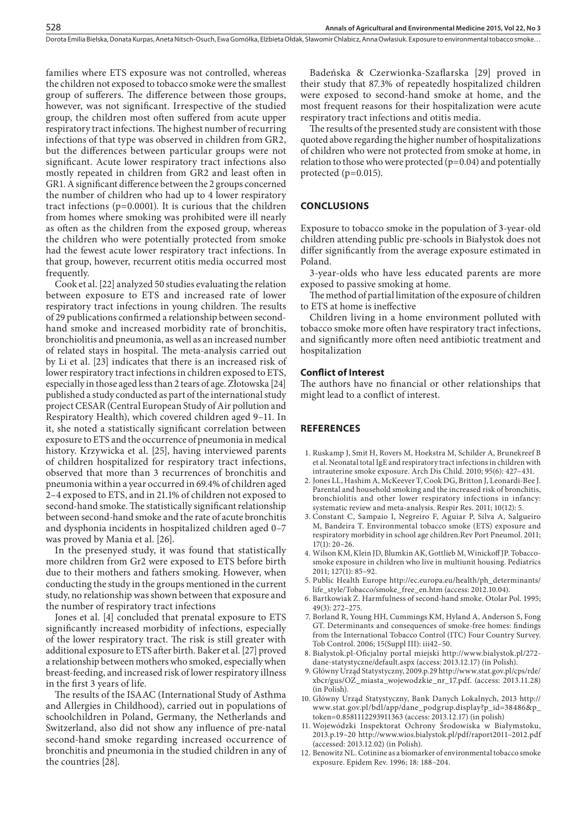families where ETS exposure was not controlled, whereas the children not exposed to tobacco smoke were the smallest group of sufferers. The difference between those groups, however, was not significant. Irrespective of the studied group, the children most often suffered from acute upper respiratory tract infections. The highest number of recurring infections of that type was observed in children from GR2, but the differences between particular groups were not significant. Acute lower respiratory tract infections also mostly repeated in children from GR2 and least often in GR1. A significant difference between the 2 groups concerned the number of children who had up to 4 lower respiratory tract infections (p=0.0001). It is curious that the children from homes where smoking was prohibited were ill nearly as often as the children from the exposed group, whereas the children who were potentially protected from smoke had the fewest acute lower respiratory tract infections. In that group, however, recurrent otitis media occurred most frequently.

Cook et al. [22] analyzed 50 studies evaluating the relation between exposure to ETS and increased rate of lower respiratory tract infections in young children. The results of 29 publications confirmed a relationship between secondhand smoke and increased morbidity rate of bronchitis, bronchiolitis and pneumonia, as well as an increased number of related stays in hospital. The meta-analysis carried out by Li et al. [23] indicates that there is an increased risk of lower respiratory tract infections in children exposed to ETS, especially in those aged less than 2 tears of age. Złotowska [24] published a study conducted as part of the international study project CESAR (Central European Study of Air pollution and Respiratory Health), which covered children aged 9–11. In it, she noted a statistically significant correlation between exposure to ETS and the occurrence of pneumonia in medical history. Krzywicka et al. [25], having interviewed parents of children hospitalized for respiratory tract infections, observed that more than 3 recurrences of bronchitis and pneumonia within a year occurred in 69.4% of children aged 2–4 exposed to ETS, and in 21.1% of children not exposed to second-hand smoke. The statistically significant relationship between second-hand smoke and the rate of acute bronchitis and dysphonia incidents in hospitalized children aged 0–7 was proved by Mania et al. [26].

In the presenyed study, it was found that statistically more children from Gr2 were exposed to ETS before birth due to their mothers and fathers smoking. However, when conducting the study in the groups mentioned in the current study, no relationship was shown between that exposure and the number of respiratory tract infections

Jones et al. [4] concluded that prenatal exposure to ETS significantly increased morbidity of infections, especially of the lower respiratory tract. The risk is still greater with additional exposure to ETS after birth. Baker et al. [27] proved a relationship between mothers who smoked, especially when breast-feeding, and increased risk of lower respiratory illness in the first 3 years of life.

The results of the ISAAC (International Study of Asthma and Allergies in Childhood), carried out in populations of schoolchildren in Poland, Germany, the Netherlands and Switzerland, also did not show any influence of pre-natal second-hand smoke regarding increased occurrence of bronchitis and pneumonia in the studied children in any of the countries [28].

Badeńska & Czerwionka-Szaflarska [29] proved in their study that 87.3% of repeatedly hospitalized children were exposed to second-hand smoke at home, and the most frequent reasons for their hospitalization were acute respiratory tract infections and otitis media.

The results of the presented study are consistent with those quoted above regarding the higher number of hospitalizations of children who were not protected from smoke at home, in relation to those who were protected  $(p=0.04)$  and potentially protected (p=0.015).

## **CONCLUSIONS**

Exposure to tobacco smoke in the population of 3-year-old children attending public pre-schools in Białystok does not differ significantly from the average exposure estimated in Poland.

3-year-olds who have less educated parents are more exposed to passive smoking at home.

The method of partial limitation of the exposure of children to ETS at home is ineffective

Children living in a home environment polluted with tobacco smoke more often have respiratory tract infections, and significantly more often need antibiotic treatment and hospitalization

## **Conflict of Interest**

The authors have no financial or other relationships that might lead to a conflict of interest.

# **REFERENCES**

- 1. Ruskamp J, Smit H, Rovers M, Hoekstra M, Schilder A, Brunekreef B et al. Neonatal total IgE and respiratory tract infections in children with intrauterine smoke exposure. Arch Dis Child. 2010; 95(6): 427–431.
- 2. Jones LL, Hashim A, McKeever T, Cook DG, Britton J, Leonardi-Bee J. Parental and household smoking and the increased risk of bronchitis, bronchiolitis and other lower respiratory infections in infancy: systematic review and meta-analysis. Respir Res. 2011; 10(12): 5.
- 3. Constant C, Sampaio I, Negreiro F, Aguiar P, Silva A, Salgueiro M, Bandeira T. Environmental tobacco smoke (ETS) exposure and respiratory morbidity in school age children.Rev Port Pneumol. 2011; 17(1): 20–26.
- 4. Wilson KM, Klein JD, Blumkin AK, Gottlieb M, Winickoff JP. Tobaccosmoke exposure in children who live in multiunit housing. Pediatrics 2011; 127(1): 85–92.
- 5. Public Health Europe [http://ec.europa.eu/health/ph\\_determinants/](http://ec.europa.eu/health/ph_determinants/life_style/Tobacco/smoke_free_en.htm) [life\\_style/Tobacco/smoke\\_free\\_en.htm](http://ec.europa.eu/health/ph_determinants/life_style/Tobacco/smoke_free_en.htm) (access: 2012.10.04).
- 6. Bartkowiak Z. Harmfulness of second-hand smoke. Otolar Pol. 1995; 49(3): 272–275.
- 7. Borland R, Young HH, Cummings KM, Hyland A, Anderson S, Fong GT. Determinants and consequences of smoke-free homes: findings from the International Tobacco Control (ITC) Four Country Survey. Tob Control. 2006; 15(Suppl III): iii42–50.
- 8. Bialystok.pl-Oficjalny portal miejski [http://www.bialystok.pl/272](http://www.bialystok.pl/272-dane-statystyczne/default.aspx) [dane-statystyczne/default.aspx](http://www.bialystok.pl/272-dane-statystyczne/default.aspx) (access: 2013.12.17) (in Polish).
- 9. Główny Urząd Statystyczny, 2009.p.29 [http://www.stat.gov.pl/cps/rde/](http://www.stat.gov.pl/cps/rde/xbcr/gus/OZ_miasta_wojewodzkie_nr_17.pdf) [xbcr/gus/OZ\\_miasta\\_wojewodzkie\\_nr\\_17.pdf](http://www.stat.gov.pl/cps/rde/xbcr/gus/OZ_miasta_wojewodzkie_nr_17.pdf). (access: 2013.11.28) (in Polish).
- 10. Główny Urząd Statystyczny, Bank Danych Lokalnych, 2013 [http://](http://www.stat.gov.pl/bdl/app/dane_podgrup.display?p_id=38486&p_token=0.8581112293911363) [www.stat.gov.pl/bdl/app/dane\\_podgrup.display?p\\_id=38486&p\\_](http://www.stat.gov.pl/bdl/app/dane_podgrup.display?p_id=38486&p_token=0.8581112293911363) [token=0.8581112293911363](http://www.stat.gov.pl/bdl/app/dane_podgrup.display?p_id=38486&p_token=0.8581112293911363) (access: 2013.12.17) (in polish)
- 11. Wojewódzki Inspektorat Ochrony Środowiska w Białymstoku, 2013.p.19–20 [http://www.wios.bialystok.pl/pdf/raport2011–2012.pdf](http://www.wios.bialystok.pl/pdf/raport2011-2012.pdf) (accessed: 2013.12.02) (in Polish).
- 12. Benowitz NL. Cotinine as a biomarker of environmental tobacco smoke exposure. Epidem Rev. 1996; 18: 188–204.